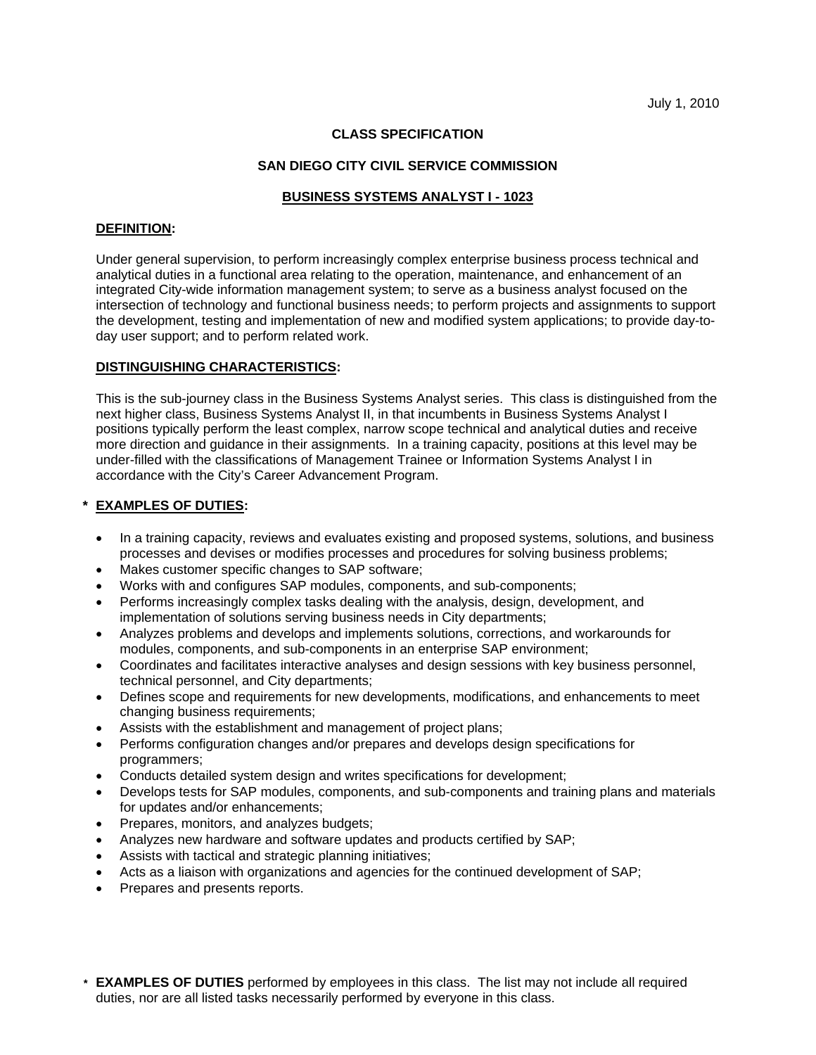## **CLASS SPECIFICATION**

## **SAN DIEGO CITY CIVIL SERVICE COMMISSION**

## **BUSINESS SYSTEMS ANALYST I - 1023**

#### **DEFINITION:**

Under general supervision, to perform increasingly complex enterprise business process technical and analytical duties in a functional area relating to the operation, maintenance, and enhancement of an integrated City-wide information management system; to serve as a business analyst focused on the intersection of technology and functional business needs; to perform projects and assignments to support the development, testing and implementation of new and modified system applications; to provide day-today user support; and to perform related work.

# **DISTINGUISHING CHARACTERISTICS:**

This is the sub-journey class in the Business Systems Analyst series. This class is distinguished from the next higher class, Business Systems Analyst II, in that incumbents in Business Systems Analyst I positions typically perform the least complex, narrow scope technical and analytical duties and receive more direction and guidance in their assignments. In a training capacity, positions at this level may be under-filled with the classifications of Management Trainee or Information Systems Analyst I in accordance with the City's Career Advancement Program.

# **\* EXAMPLES OF DUTIES:**

- In a training capacity, reviews and evaluates existing and proposed systems, solutions, and business processes and devises or modifies processes and procedures for solving business problems;
- Makes customer specific changes to SAP software;
- Works with and configures SAP modules, components, and sub-components;
- Performs increasingly complex tasks dealing with the analysis, design, development, and implementation of solutions serving business needs in City departments;
- Analyzes problems and develops and implements solutions, corrections, and workarounds for modules, components, and sub-components in an enterprise SAP environment;
- Coordinates and facilitates interactive analyses and design sessions with key business personnel, technical personnel, and City departments;
- Defines scope and requirements for new developments, modifications, and enhancements to meet changing business requirements;
- Assists with the establishment and management of project plans;
- Performs configuration changes and/or prepares and develops design specifications for programmers;
- Conducts detailed system design and writes specifications for development;
- Develops tests for SAP modules, components, and sub-components and training plans and materials for updates and/or enhancements;
- Prepares, monitors, and analyzes budgets;
- Analyzes new hardware and software updates and products certified by SAP;
- Assists with tactical and strategic planning initiatives;
- Acts as a liaison with organizations and agencies for the continued development of SAP;
- Prepares and presents reports.
- **\* EXAMPLES OF DUTIES** performed by employees in this class. The list may not include all required duties, nor are all listed tasks necessarily performed by everyone in this class.